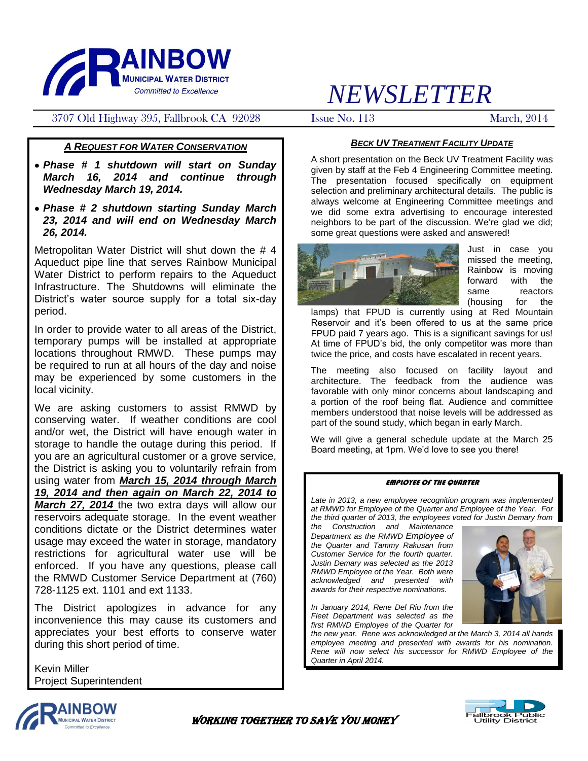

## 3707 Old Highway 395, Fallbrook CA 92028 Issue No. 113 March, 2014

# *NEWSLETTER*

## *A REQUEST FOR WATER CONSERVATION*

- *Phase # 1 shutdown will start on Sunday March 16, 2014 and continue through Wednesday March 19, 2014.*
- *Phase # 2 shutdown starting Sunday March 23, 2014 and will end on Wednesday March 26, 2014.*

Metropolitan Water District will shut down the # 4 Aqueduct pipe line that serves Rainbow Municipal Water District to perform repairs to the Aqueduct Infrastructure. The Shutdowns will eliminate the District's water source supply for a total six-day period.

In order to provide water to all areas of the District, temporary pumps will be installed at appropriate locations throughout RMWD. These pumps may be required to run at all hours of the day and noise may be experienced by some customers in the local vicinity.

We are asking customers to assist RMWD by conserving water. If weather conditions are cool and/or wet, the District will have enough water in storage to handle the outage during this period. If you are an agricultural customer or a grove service, the District is asking you to voluntarily refrain from using water from *March 15, 2014 through March 19, 2014 and then again on March 22, 2014 to March 27, 2014* the two extra days will allow our reservoirs adequate storage. In the event weather conditions dictate or the District determines water usage may exceed the water in storage, mandatory restrictions for agricultural water use will be enforced. If you have any questions, please call the RMWD Customer Service Department at (760) 728-1125 ext. 1101 and ext 1133.

The District apologizes in advance for any inconvenience this may cause its customers and appreciates your best efforts to conserve water during this short period of time.

Kevin Miller Project Superintendent

## *BECK UV TREATMENT FACILITY UPDATE*

A short presentation on the Beck UV Treatment Facility was given by staff at the Feb 4 Engineering Committee meeting. The presentation focused specifically on equipment selection and preliminary architectural details. The public is always welcome at Engineering Committee meetings and we did some extra advertising to encourage interested neighbors to be part of the discussion. We're glad we did; some great questions were asked and answered!



Just in case you missed the meeting, Rainbow is moving forward with the same reactors (housing for the

lamps) that FPUD is currently using at Red Mountain Reservoir and it's been offered to us at the same price FPUD paid 7 years ago. This is a significant savings for us! At time of FPUD's bid, the only competitor was more than twice the price, and costs have escalated in recent years.

The meeting also focused on facility layout and architecture. The feedback from the audience was favorable with only minor concerns about landscaping and a portion of the roof being flat. Audience and committee members understood that noise levels will be addressed as part of the sound study, which began in early March.

We will give a general schedule update at the March 25 Board meeting, at 1pm. We'd love to see you there!

#### EMPLOYEE OF THE QUARTER

*Late in 2013, a new employee recognition program was implemented at RMWD for Employee of the Quarter and Employee of the Year. For the third quarter of 2013, the employees voted for Justin Demary from* 

*the Construction and Maintenance Department as the RMWD Employee of the Quarter and Tammy Rakusan from Customer Service for the fourth quarter. Justin Demary was selected as the 2013 RMWD Employee of the Year. Both were acknowledged and presented with awards for their respective nominations.*

*In January 2014, Rene Del Rio from the Fleet Department was selected as the first RMWD Employee of the Quarter for* 

*the new year. Rene was acknowledged at the March 3, 2014 all hands employee meeting and presented with awards for his nomination. Rene will now select his successor for RMWD Employee of the Quarter in April 2014.*